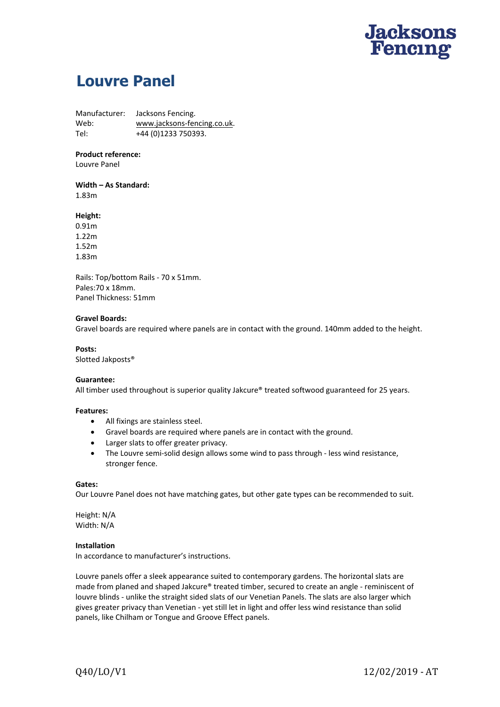

# **Louvre Panel**

Manufacturer: Jacksons Fencing. Web: www.jacksons-fencing.co.uk. Tel: +44 (0)1233 750393.

## **Product reference:**

Louvre Panel

# Width – As Standard:

1.83m

### **Height:**

0.91m 1.22m 1.52m 1.83m

Rails: Top/bottom Rails ‐ 70 x 51mm. Pales:70 x 18mm. Panel Thickness: 51mm

#### **Gravel Boards:**

Gravel boards are required where panels are in contact with the ground. 140mm added to the height.

#### Posts:

Slotted Jakposts®

### **Guarantee:**

All timber used throughout is superior quality Jakcure® treated softwood guaranteed for 25 years.

#### **Features:**

- All fixings are stainless steel.
- Gravel boards are required where panels are in contact with the ground.
- Larger slats to offer greater privacy.
- The Louvre semi‐solid design allows some wind to pass through ‐ less wind resistance, stronger fence.

#### **Gates:**

Our Louvre Panel does not have matching gates, but other gate types can be recommended to suit.

Height: N/A Width: N/A

# **Installation**

In accordance to manufacturer's instructions.

Louvre panels offer a sleek appearance suited to contemporary gardens. The horizontal slats are made from planed and shaped Jakcure® treated timber, secured to create an angle - reminiscent of louvre blinds ‐ unlike the straight sided slats of our Venetian Panels. The slats are also larger which gives greater privacy than Venetian ‐ yet still let in light and offer less wind resistance than solid panels, like Chilham or Tongue and Groove Effect panels.